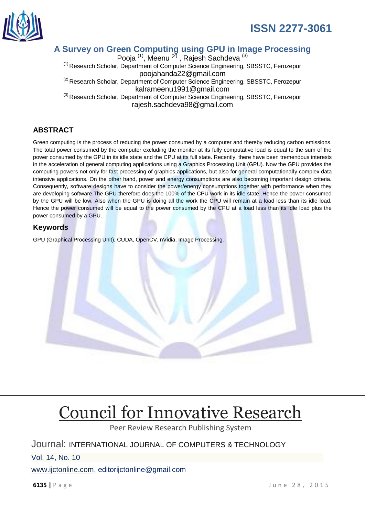

### **A Survey on Green Computing using GPU in Image Processing**

Pooja <sup>(1)</sup>, Meenu <sup>(2)</sup>, Rajesh Sachdeva <sup>(3)</sup> <sup>(1)</sup> Research Scholar, Department of Computer Science Engineering, SBSSTC, Ferozepur poojahanda22@gmail.com <sup>(2)</sup> Research Scholar, Department of Computer Science Engineering, SBSSTC, Ferozepur kalrameenu1991@gmail.com<br><sup>(3)</sup> Research Scholar, Department of Computer Science Engineering, SBSSTC, Ferozepur rajesh.sachdeva98@gmail.com

### **ABSTRACT**

Green computing is the process of reducing the power consumed by a computer and thereby reducing carbon emissions. The total power consumed by the computer excluding the monitor at its fully computative load is equal to the sum of the power consumed by the GPU in its idle state and the CPU at its full state. Recently, there have been tremendous interests in the acceleration of general computing applications using a Graphics Processing Unit (GPU). Now the GPU provides the computing powers not only for fast processing of graphics applications, but also for general computationally complex data intensive applications. On the other hand, power and energy consumptions are also becoming important design criteria. Consequently, software designs have to consider the power/energy consumptions together with performance when they are developing software.The GPU therefore does the 100% of the CPU work in its idle state .Hence the power consumed by the GPU will be low. Also when the GPU is doing all the work the CPU will remain at a load less than its idle load. Hence the power consumed will be equal to the power consumed by the CPU at a load less than its idle load plus the power consumed by a GPU.

### **Keywords**

GPU (Graphical Processing Unit), CUDA, OpenCV, nVidia, Image Processing.

# [Council for Innovative Research](http://member.cirworld.com/)

Peer Review Research Publishing System

### Journal: INTERNATIONAL JOURNAL OF COMPUTERS & TECHNOLOGY

Vol. 14, No. 10

[www.ijctonline.com,](http://www.ijctonline.com/) editorijctonline@gmail.com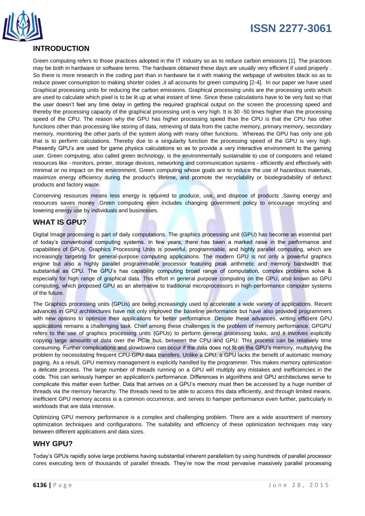

### **INTRODUCTION**

Green computing refers to those practices adopted in the IT industry so as to reduce carbon emissions [1]. The practices may be both in hardware or software terms. The hardware obtained these days are usually very efficient if used properly . So there is more research in the coding part than in hardware be it with making the webpage of websites black so as to reduce power consumption to making shorter codes , it all accounts for green computing [2-4]. In our paper we have used Graphical processing units for reducing the carbon emissions. Graphical processing units are the processing units which are used to calculate which pixel is to be lit up at what instant of time. Since these calculations have to be very fast so that the user doesn't feel any time delay in getting the required graphical output on the screen the processing speed and thereby the processing capacity of the graphical processing unit is very high. It is 30 -50 times higher than the processing speed of the CPU. The reason why the GPU has higher processing speed than the CPU is that the CPU has other functions other than processing like storing of data, retrieving of data from the cache memory, primary memory, secondary memory, monitoring the other parts of the system along with many other functions. Whereas the GPU has only one job that is to perform calculations. Thereby due to a singularity function the processing speed of the GPU is very high. Presently GPU's are used for game physics calculations so as to provide a very interactive environment to the gaming user. Green computing, also called green technology, is the environmentally sustainable to use of computers and related resources like - monitors, printer, storage devices, networking and communication systems - efficiently and effectively with minimal or no impact on the environment. Green computing whose goals are to reduce the use of hazardous materials, maximize energy efficiency during the product's lifetime, and promote the recyclability or biodegradability of defunct products and factory waste.

Conserving resources means less energy is required to produce, use, and dispose of products ,Saving energy and resources saves money .Green computing even includes changing government policy to encourage recycling and lowering energy use by individuals and businesses.

### **WHAT IS GPU?**

Digital Image processing is part of daily computations. The graphics processing unit (GPU) has become an essential part of today's conventional computing systems. In few years, there has been a marked raise in the performance and capabilities of GPUs. Graphics Processing Units is powerful, programmable, and highly parallel computing, which are increasingly targeting for general-purpose computing applications. The modern GPU is not only a powerful graphics engine but also a highly parallel programmable processor featuring peak arithmetic and memory bandwidth that substantial as CPU. The GPU's has capability computing broad range of computation, complex problems solve & especially for high range of graphical data. This effort in general purpose computing on the GPU, also known as GPU computing, which proposed GPU as an alternative to traditional microprocessors in high-performance computer systems of the future.

The Graphics processing units (GPUs) are being increasingly used to accelerate a wide variety of applications. Recent advances in GPU architectures have not only improved the baseline performance but have also provided programmers with new options to optimize their applications for better performance. Despite these advances, writing efficient GPU applications remains a challenging task. Chief among these challenges is the problem of memory performance. GPGPU refers to the use of graphics processing units (GPUs) to perform general processing tasks, and it involves explicitly copying large amounts of data over the PCIe bus, between the CPU and GPU. This process can be relatively time consuming. Further complications and slowdowns can occur if the data does not fit on the GPU's memory, multiplying the problem by necessitating frequent CPU-GPU data transfers. Unlike a CPU, a GPU lacks the benefit of automatic memory paging. As a result, GPU memory management is explicitly handled by the programmer. This makes memory optimization a delicate process. The large number of threads running on a GPU will multiply any mistakes and inefficiencies in the code. This can seriously hamper an application's performance. Differences in algorithms and GPU architectures serve to complicate this matter even further. Data that arrives on a GPU's memory must then be accessed by a huge number of threads via the memory hierarchy. The threads need to be able to access this data efficiently, and through limited means. Inefficient GPU memory access is a common occurrence, and serves to hamper performance even further, particularly in workloads that are data intensive.

Optimizing GPU memory performance is a complex and challenging problem. There are a wide assortment of memory optimization techniques and configurations. The suitability and efficiency of these optimization techniques may vary between different applications and data sizes.

### **WHY GPU?**

Today's GPUs rapidly solve large problems having substantial inherent parallelism by using hundreds of parallel processor cores executing tens of thousands of parallel threads. They're now the most pervasive massively parallel processing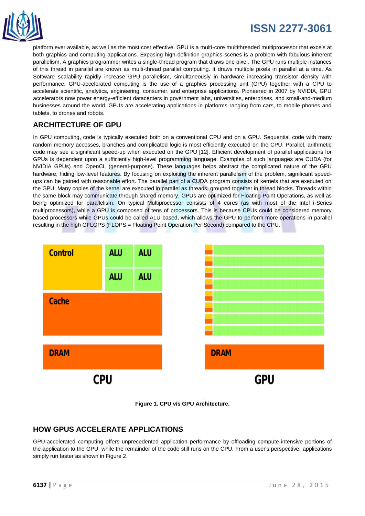

platform ever available, as well as the most cost effective. GPU is a multi-core multithreaded multiprocessor that excels at both graphics and computing applications. Exposing high-definition graphics scenes is a problem with fabulous inherent parallelism. A graphics programmer writes a single-thread program that draws one pixel. The GPU runs multiple instances of this thread in parallel are known as multi-thread parallel computing. It draws multiple pixels in parallel at a time. As Software scalability rapidly increase GPU parallelism, simultaneously in hardware increasing transistor density with performance. GPU-accelerated computing is the use of a graphics processing unit (GPU) together with a CPU to accelerate scientific, analytics, engineering, consumer, and enterprise applications. Pioneered in 2007 by NVIDIA, GPU accelerators now power energy-efficient datacenters in government labs, universities, enterprises, and small-and-medium businesses around the world. GPUs are accelerating applications in platforms ranging from cars, to mobile phones and tablets, to drones and robots.

### **ARCHITECTURE OF GPU**

In GPU computing, code is typically executed both on a conventional CPU and on a GPU. Sequential code with many random memory accesses, branches and complicated logic is most efficiently executed on the CPU. Parallel, arithmetic code may see a significant speed-up when executed on the GPU [12]. Efficient development of parallel applications for GPUs is dependent upon a sufficiently high-level programming language. Examples of such languages are CUDA (for NVIDIA GPUs) and OpenCL (general-purpose). These languages helps abstract the complicated nature of the GPU hardware, hiding low-level features. By focusing on exploiting the inherent parallelism of the problem, significant speedups can be gained with reasonable effort. The parallel part of a CUDA program consists of kernels that are executed on the GPU. Many copies of the kernel are executed in parallel as threads, grouped together in thread blocks. Threads within the same block may communicate through shared memory. GPUs are optimized for Floating Point Operations, as well as being optimized for parallelism. On typical Multiprocessor consists of 4 cores (as with most of the Intel i-Series multiprocessors), while a GPU is composed of tens of processors. This is because CPUs could be considered memory based processors while GPUs could be called ALU based, which allows the GPU to perform more operations in parallel resulting in the high GFLOPS (FLOPS = Floating Point Operation Per Second) compared to the CPU.





### **HOW GPUS ACCELERATE APPLICATIONS**

GPU-accelerated computing offers unprecedented application performance by offloading compute-intensive portions of the application to the GPU, while the remainder of the code still runs on the CPU. From a user's perspective, applications simply run faster as shown in Figure 2.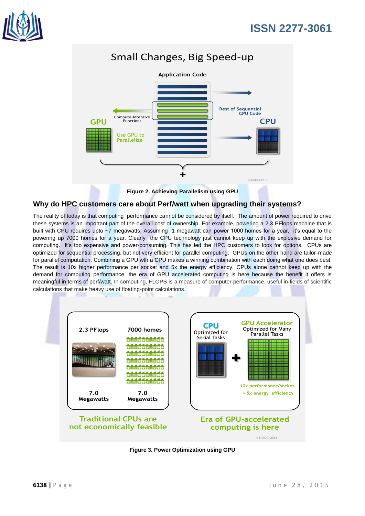

### Small Changes, Big Speed-up



**Figure 2. Achieving Parallelism using GPU**

### **Why do HPC customers care about Perf/watt when upgrading their systems?**

The reality of today is that computing performance cannot be considered by itself. The amount of power required to drive these systems is an important part of the overall cost of ownership. For example, powering a 2.3 PFlops machine that is built with CPU requires upto ~7 megawatts. Assuming 1 megawatt can power 1000 homes for a year, it's equal to the powering up 7000 homes for a year. Clearly the CPU technology just cannot keep up with the explosive demand for computing. It's too expensive and power-consuming. This has led the HPC customers to look for options. CPUs are optimized for sequential processing, but not very efficient for parallel computing. GPUs on the other hand are tailor-made for parallel computation. Combining a GPU wth a CPU makes a winning combination with each doing what one does best. The result is 10x higher performance per socket and 5x the energy efficiency. CPUs alone cannot keep up with the demand for computing performance, the era of GPU accelerated computing is here because the benefit it offers is meaningful in terms of perf/watt. In computing, FLOPS is a measure of computer performance, useful in fields of scientific calculations that make heavy use of floating-point calculations.



**Figure 3. Power Optimization using GPU**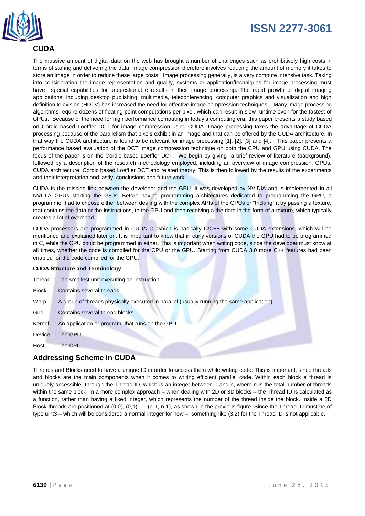



### **CUDA**

The massive amount of digital data on the web has brought a number of challenges such as prohibitively high costs in terms of storing and delivering the data. Image compression therefore involves reducing the amount of memory it takes to store an image in order to reduce these large costs. Image processing generally, is a very compute intensive task. Taking into consideration the image representation and quality, systems or application/techniques for image processing must have special capabilities for unquestionable results in their image processing. The rapid growth of digital imaging applications, including desktop publishing, multimedia, teleconferencing, computer graphics and visualization and high definition television (HDTV) has increased the need for effective image compression techniques. Many image processing algorithms require dozens of floating point computations per pixel, which can result in slow runtime even for the fastest of CPUs. Because of the need for high performance computing in today's computing era, this paper presents a study based on Cordic based Loeffler DCT for image compression using CUDA. Image processing takes the advantage of CUDA processing because of the parallelism that pixels exhibit in an image and that can be offered by the CUDA architecture. In that way the CUDA architecture is found to be relevant for image processing [1], [2], [3] and [4]. This paper presents a performance based evaluation of the DCT image compression technique on both the CPU and GPU using CUDA. The focus of the paper is on the Cordic based Loeffler DCT. We begin by giving a brief review of literature (background), followed by a description of the research methodology employed, including an overview of image compression, GPUs, CUDA architecture, Cordic based Loeffler DCT and related theory. This is then followed by the results of the experiments and their interpretation and lastly, conclusions and future work.

CUDA is the missing link between the developer and the GPU. It was developed by NVIDIA and is implemented in all NVIDIA GPUs starting the G80s. Before having programming architectures dedicated to programming the GPU, a programmer had to choose either between dealing with the complex APIs of the GPUs or "tricking" it by passing a texture, that contains the data or the instructions, to the GPU and then receiving a the data in the form of a texture, which typically creates a lot of overhead.

CUDA processors are programmed in CUDA C, which is basically C/C++ with some CUDA extensions, which will be mentioned and explained later on. It is important to know that in early versions of CUDA the GPU had to be programmed in C, while the CPU could be programmed in either. This is important when writing code, since the developer must know at all times, whether the code is compiled for the CPU or the GPU. Starting from CUDA 3.0 more C++ features had been enabled for the code compiled for the GPU.

#### **CUDA Structure and Terminology**

|              | Thread: The smallest unit executing an instruction.                                          |
|--------------|----------------------------------------------------------------------------------------------|
| <b>Block</b> | : Contains several threads.                                                                  |
| Warp         | : A group of threads physically executed in parallel (usually running the same application). |
| Grid         | : Contains several thread blocks.                                                            |
| Kernel       | : An application or program, that runs on the GPU.                                           |
|              | Device : The GPU.                                                                            |

Host : The CPU.

### **Addressing Scheme in CUDA**

Threads and Blocks need to have a unique ID in order to access them while writing code. This is important, since threads and blocks are the main components when it comes to writing efficient parallel code. Within each block a thread is uniquely accessible through the Thread ID, which is an integer between 0 and n, where n is the total number of threads within the same block. In a more complex approach – when dealing with 2D or 3D blocks – the Thread ID is calculated as a function, rather than having a fixed integer, which represents the number of the thread inside the block. Inside a 2D Block threads are positioned at (0,0), (0,1), … (n-1, n-1), as shown in the previous figure. Since the Thread ID must be of type uint3 – which will be considered a normal integer for now – something like (3,2) for the Thread ID is not applicable.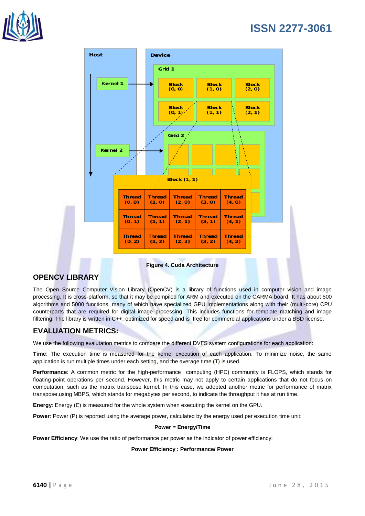



**Figure 4. Cuda Architecture**

### **OPENCV LIBRARY**

The Open Source Computer Vision Library (OpenCV) is a library of functions used in computer vision and image processing. It is cross-platform, so that it may be compiled for ARM and executed on the CARMA board. It has about 500 algorithms and 5000 functions, many of which have specialized GPU implementations along with their (multi-core) CPU counterparts that are required for digital image processing. This includes functions for template matching and image filltering. The library is written in C++, optimized for speed and is free for commercial applications under a BSD license.

### **EVALUATION METRICS:**

We use the following evalutation metrics to compare the different DVFS system configurations for each application:

**Time**: The execution time is measured for the kernel execution of each application. To minimize noise, the same application is run multiple times under each setting, and the average time (T) is used.

**Performance**: A common metric for the high-performance computing (HPC) community is FLOPS, which stands for floating-point operations per second. However, this metric may not apply to certain applications that do not focus on computation, such as the matrix transpose kernel. In this case, we adopted another metric for performance of matrix transpose,using MBPS, which stands for megabytes per second, to indicate the throughput it has at run time.

**Energy**: Energy (E) is measured for the whole system when executing the kernel on the GPU.

**Power:** Power (P) is reported using the average power, calculated by the energy used per execution time unit:

#### **Power = Energy/Time**

**Power Efficiency**: We use the ratio of performance per power as the indicator of power efficiency:

#### **Power Efficiency : Performance/ Power**